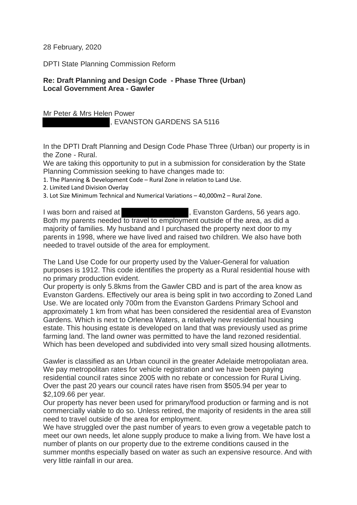28 February, 2020

DPTI State Planning Commission Reform

## **Re: Draft Planning and Design Code - Phase Three (Urban) Local Government Area - Gawler**

Mr Peter & Mrs Helen Power , EVANSTON GARDENS SA 5116

In the DPTI Draft Planning and Design Code Phase Three (Urban) our property is in the Zone - Rural.

We are taking this opportunity to put in a submission for consideration by the State Planning Commission seeking to have changes made to:

- 1. The Planning & Development Code Rural Zone in relation to Land Use.
- 2. Limited Land Division Overlay
- 3. Lot Size Minimum Technical and Numerical Variations 40,000m2 Rural Zone.

I was born and raised at  $\qquad \qquad$ , Evanston Gardens, 56 years ago. Both my parents needed to travel to employment outside of the area, as did a majority of families. My husband and I purchased the property next door to my parents in 1998, where we have lived and raised two children. We also have both needed to travel outside of the area for employment.

The Land Use Code for our property used by the Valuer-General for valuation purposes is 1912. This code identifies the property as a Rural residential house with no primary production evident.

Our property is only 5.8kms from the Gawler CBD and is part of the area know as Evanston Gardens. Effectively our area is being split in two according to Zoned Land Use. We are located only 700m from the Evanston Gardens Primary School and approximately 1 km from what has been considered the residential area of Evanston Gardens. Which is next to Orlenea Waters, a relatively new residential housing estate. This housing estate is developed on land that was previously used as prime farming land. The land owner was permitted to have the land rezoned residential. Which has been developed and subdivided into very small sized housing allotments.

Gawler is classified as an Urban council in the greater Adelaide metropoliatan area. We pay metropolitan rates for vehicle registration and we have been paying residential council rates since 2005 with no rebate or concession for Rural Living. Over the past 20 years our council rates have risen from \$505.94 per year to \$2,109.66 per year.

Our property has never been used for primary/food production or farming and is not commercially viable to do so. Unless retired, the majority of residents in the area still need to travel outside of the area for employment.

We have struggled over the past number of years to even grow a vegetable patch to meet our own needs, let alone supply produce to make a living from. We have lost a number of plants on our property due to the extreme conditions caused in the summer months especially based on water as such an expensive resource. And with very little rainfall in our area.